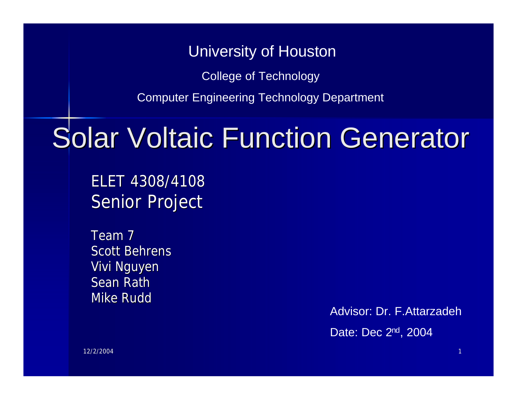#### University of Houston

College of Technology

Computer Engineering Technology Department

## Solar Voltaic Function Generator

ELET 4308/4108 Senior Project

Team 7 Scott Behrens Vivi Nguyen Sean Rath Mike Rudd

> Advisor: Dr. F.Attarzadeh Date: Dec 2nd, 2004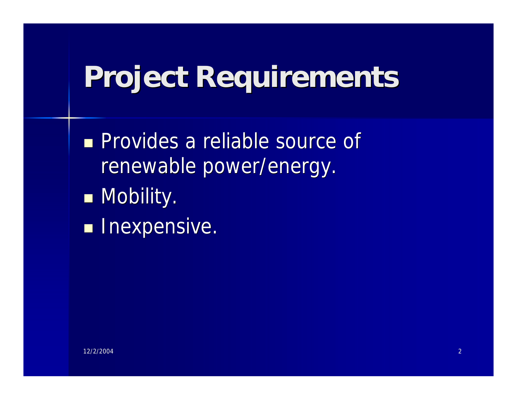## **Project Requirements**

**n** Provides a reliable source of renewable power/energy.

- **n** Mobility.
- **n** Inexpensive.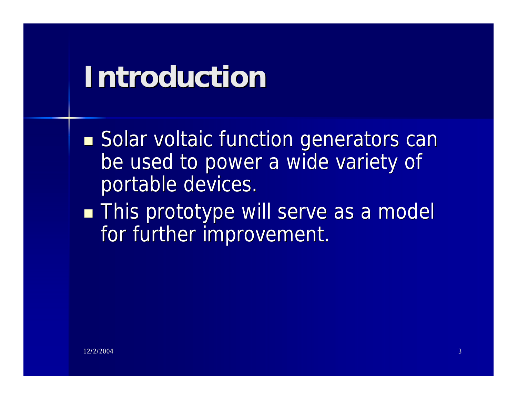## **Introduction**

**Solar voltaic function generators can** be used to power a wide variety of portable devices.

**n This prototype will serve as a model** for further improvement.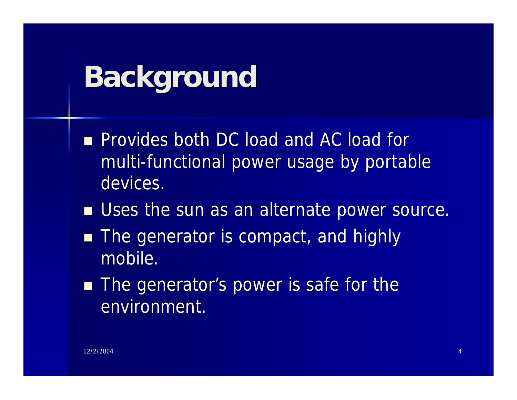## **Background**

- **n** Provides both DC load and AC load for multi-functional power usage by portable devices.
- **No Uses the sun as an alternate power source.**
- **n** The generator is compact, and highly mobile.
- **n The generator's power is safe for the** environment.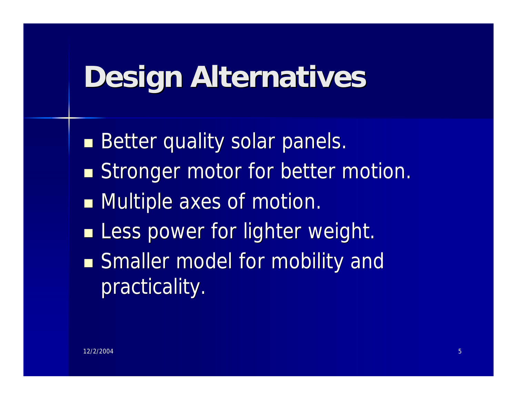## **Design Alternatives**

**Better quality solar panels.** Stronger motor for better motion. **Nultiple axes of motion. ELESS power for lighter weight. Example Smaller model for mobility and** practicality.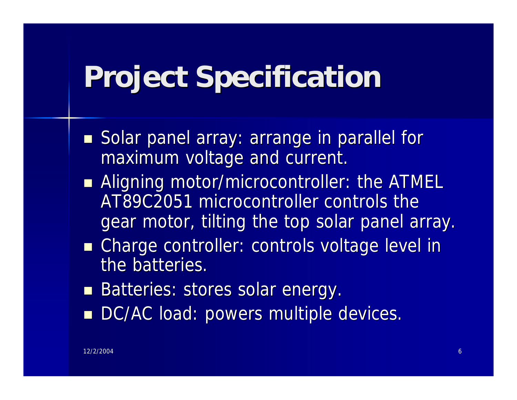## **Project Specification**

- Solar panel array: arrange in parallel for maximum voltage and current.
- Aligning motor/microcontroller: the ATMEL AT89C2051 microcontroller controls the gear motor, tilting the top solar panel array.
- **n Charge controller: controls voltage level in** the batteries.
- Batteries: stores solar energy.
- DC/AC load: powers multiple devices.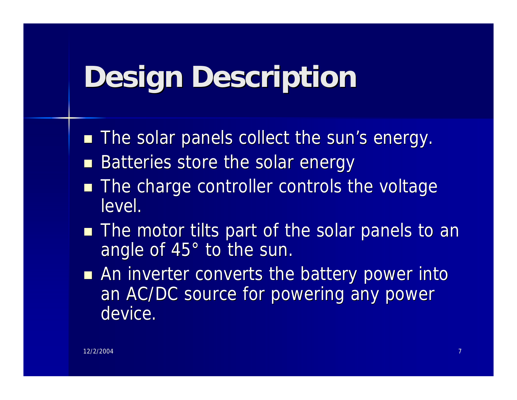## **Design Description**

- **n** The solar panels collect the sun's energy.
- Batteries store the solar energy
- The charge controller controls the voltage level.
- **n** The motor tilts part of the solar panels to an angle of 45° to the sun.
- **n** An inverter converts the battery power into an AC/DC source for powering any power device.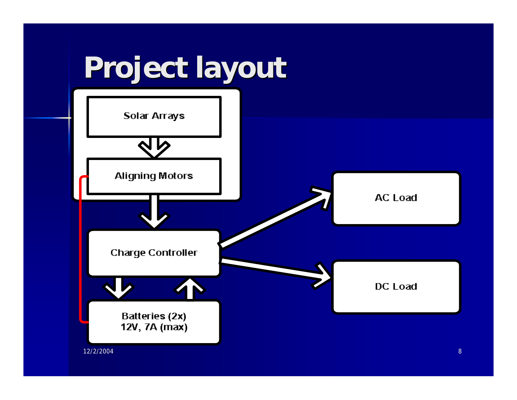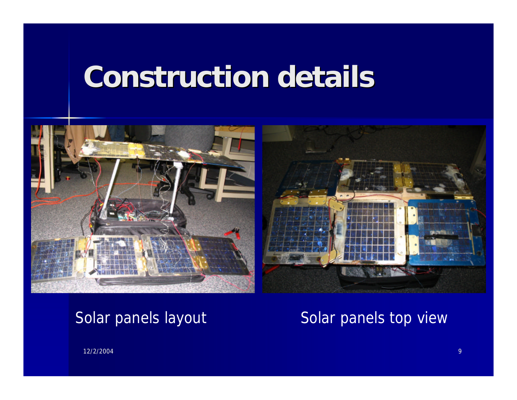## **Construction details**



Solar panels layout Solar panels top view

12/2/2004 9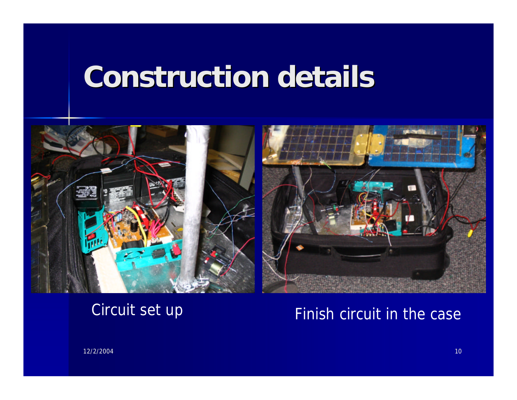## **Construction details**



#### Circuit set up Finish circuit in the case

12/2/2004 10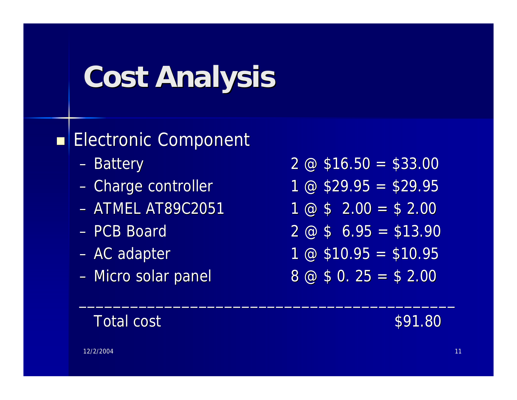# **Cost Analysis**

#### Electronic Component

- 
- 
- 
- 
- 
- 
- $-$  Battery 2  $\emptyset$  \$16.50 = \$33.00
- Charge controller 1  $\omega$  \$29.95 = \$29.95
- $-$  ATMEL AT89C2051 1 @ \$ 2.00 = \$ 2.00
- $-$  PCB Board 2  $\omega$  \$ 6.95 = \$13.90
- $-$  AC adapter 1 @ \$10.95 = \$10.95
- Micro solar panel  $8 \text{ } \textcircled{3} \text{ } \textcircled{4} \text{ } 5 \text{ } 0.25 = \textcircled{4} \text{ } 2.00$

 $\mathcal{L}_\text{max}$  and  $\mathcal{L}_\text{max}$  and  $\mathcal{L}_\text{max}$  and  $\mathcal{L}_\text{max}$  and  $\mathcal{L}_\text{max}$  and  $\mathcal{L}_\text{max}$ 

Total cost and the state of the state  $\sim$  \$91.80

#### 12/2/2004 **12/2/2004** 12:00 بالمسافر المسافر المسافر المسافر المسافر المسافر المسافر المسافر المسافر المسافر ال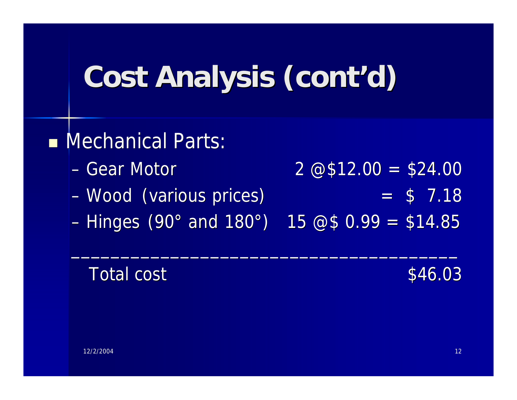# **Cost Analysis (cont'd)**

#### **n** Mechanical Parts:

- $-$  Gear Motor 2  $\overline{\omega}$ \$12.00 = \$24.00
- $Wood$  (various prices)  $= $ 7.18$
- Hinges (90° and 180°) 15  $@$0.99 = $14.85$

 $\mathcal{L}_\text{max}$  and  $\mathcal{L}_\text{max}$  and  $\mathcal{L}_\text{max}$  and  $\mathcal{L}_\text{max}$  and  $\mathcal{L}_\text{max}$  and  $\mathcal{L}_\text{max}$ 

#### Total cost \$46.03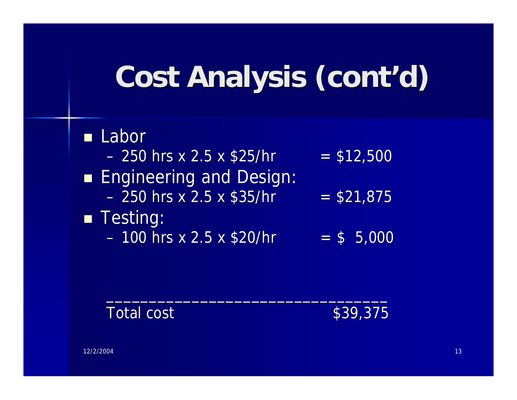# **Cost Analysis (cont'd)**

#### **n** Labor  $-$  250 hrs x 2.5 x \$25/hr  $=$  \$12,500 **Engineering and Design:**  $-$  250 hrs x 2.5 x \$35/hr  $=$  \$21,875 **n** Testing:  $-100$  hrs x 2.5 x \$20/hr  $=$  \$ 5,000

 $\mathcal{L}_\text{max}$  and  $\mathcal{L}_\text{max}$  and  $\mathcal{L}_\text{max}$  are the set of  $\mathcal{L}_\text{max}$  and  $\mathcal{L}_\text{max}$ 

#### Total cost  $$39,375$